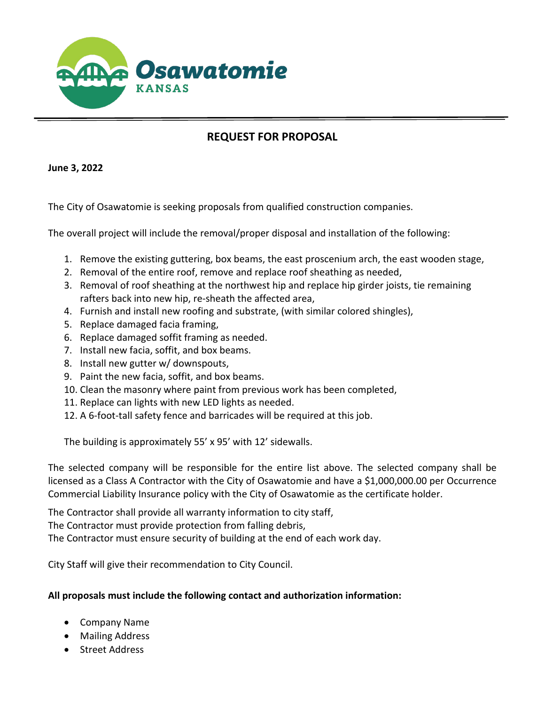

## **REQUEST FOR PROPOSAL**

**June 3, 2022**

The City of Osawatomie is seeking proposals from qualified construction companies.

The overall project will include the removal/proper disposal and installation of the following:

- 1. Remove the existing guttering, box beams, the east proscenium arch, the east wooden stage,
- 2. Removal of the entire roof, remove and replace roof sheathing as needed,
- 3. Removal of roof sheathing at the northwest hip and replace hip girder joists, tie remaining rafters back into new hip, re-sheath the affected area,
- 4. Furnish and install new roofing and substrate, (with similar colored shingles),
- 5. Replace damaged facia framing,
- 6. Replace damaged soffit framing as needed.
- 7. Install new facia, soffit, and box beams.
- 8. Install new gutter w/ downspouts,
- 9. Paint the new facia, soffit, and box beams.
- 10. Clean the masonry where paint from previous work has been completed,
- 11. Replace can lights with new LED lights as needed.
- 12. A 6-foot-tall safety fence and barricades will be required at this job.

The building is approximately 55' x 95' with 12' sidewalls.

The selected company will be responsible for the entire list above. The selected company shall be licensed as a Class A Contractor with the City of Osawatomie and have a \$1,000,000.00 per Occurrence Commercial Liability Insurance policy with the City of Osawatomie as the certificate holder.

The Contractor shall provide all warranty information to city staff,

The Contractor must provide protection from falling debris,

The Contractor must ensure security of building at the end of each work day.

City Staff will give their recommendation to City Council.

## **All proposals must include the following contact and authorization information:**

- Company Name
- Mailing Address
- Street Address